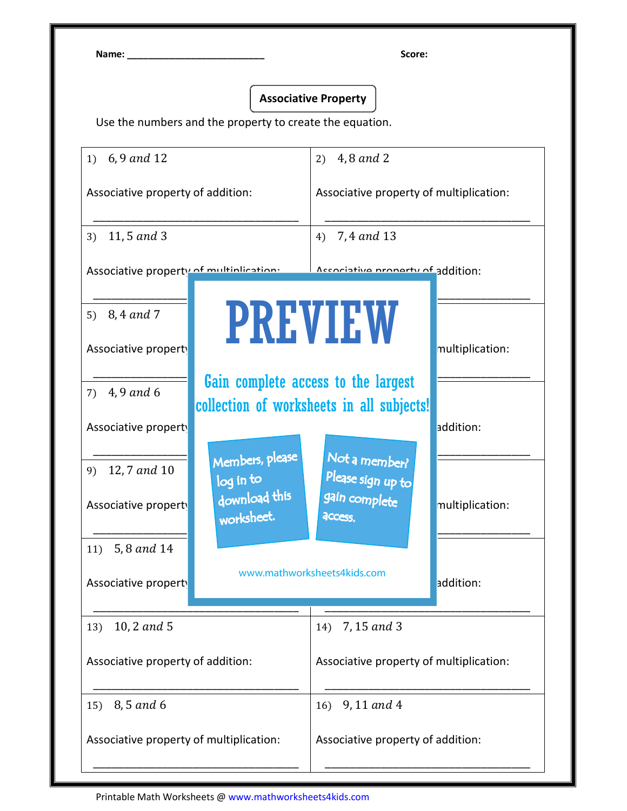Name: \_\_\_\_\_\_\_\_\_\_\_\_\_\_\_\_\_\_\_\_\_\_\_\_\_\_ Score:

## Associative Property

Use the numbers and the property to create the equation.

| 6,9 and 12<br>1)                                                                                         | 2) $4, 8$ and 2                                                                               |  |
|----------------------------------------------------------------------------------------------------------|-----------------------------------------------------------------------------------------------|--|
| Associative property of addition:                                                                        | Associative property of multiplication:                                                       |  |
| 11,5 and 3<br>3)                                                                                         | 7,4 and 13<br>4)                                                                              |  |
| Associative property of multiplication:                                                                  | Accoriative property of addition:                                                             |  |
| 5) $8, 4$ and 7<br>Associative property                                                                  | <b>PREVIEW</b><br>multiplication:                                                             |  |
| 7) $4, 9$ and 6<br>Associative property                                                                  | Gain complete access to the largest<br>collection of worksheets in all subjects!<br>addition: |  |
| Members, please<br>12,7 and 10<br>9)<br>log in to<br>download this<br>Associative property<br>worksheet. | Not a member?<br>Please sign up to<br>gain complete<br>multiplication:<br><b>ACCESS.</b>      |  |
| 11) $5, 8$ and 14<br>Associative property                                                                | www.mathworksheets4kids.com<br>addition:                                                      |  |
| 10, 2 and 5<br>13)                                                                                       | 14) 7, 15 and 3                                                                               |  |
| Associative property of addition:                                                                        | Associative property of multiplication:                                                       |  |
| 8,5 and 6<br>15)                                                                                         | 9, 11 and 4<br>16)                                                                            |  |
| Associative property of multiplication:                                                                  | Associative property of addition:                                                             |  |

Printable Math Worksheets @ www.mathworksheets4kids.com